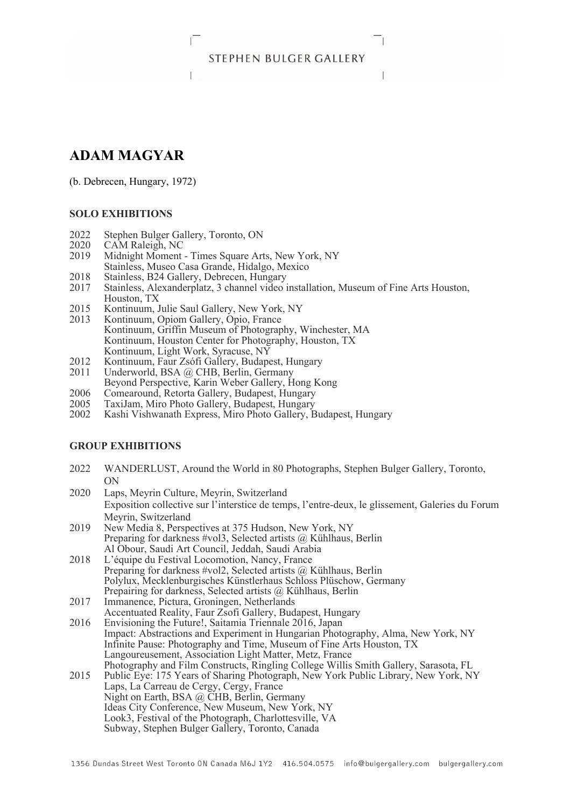# STEPHEN BULGER GALLERY

# **ADAM MAGYAR**

(b. Debrecen, Hungary, 1972)

#### **SOLO EXHIBITIONS**

- 2022 Stephen Bulger Gallery, Toronto, ON<br>2020 CAM Raleigh, NC
- 2020 CAM Raleigh, NC<br>2019 Midnight Moment
- Midnight Moment Times Square Arts, New York, NY
- Stainless, Museo Casa Grande, Hidalgo, Mexico
- 2018 Stainless, B24 Gallery, Debrecen, Hungary<br>2017 Stainless, Alexanderplatz, 3 channel video
- Stainless, Alexanderplatz, 3 channel video installation, Museum of Fine Arts Houston, Houston, TX
- 2015 Kontinuum, Julie Saul Gallery, New York, NY<br>2013 Kontinuum, Opiom Gallery, Opio, France
- Kontinuum, Opiom Gallery, Opio, France Kontinuum, Griffin Museum of Photography, Winchester, MA Kontinuum, Houston Center for Photography, Houston, TX Kontinuum, Light Work, Syracuse, NY
- 2012 Kontinuum, Faur Zsófi Gallery, Budapest, Hungary<br>2011 Underworld, BSA @ CHB, Berlin, Germany
- Underworld, BSA @ CHB, Berlin, Germany Beyond Perspective, Karin Weber Gallery, Hong Kong
- 
- 2006 Comearound, Retorta Gallery, Budapest, Hungary<br>2005 TaxiJam, Miro Photo Gallery, Budapest, Hungary
- 2005 TaxiJam, Miro Photo Gallery, Budapest, Hungary Kashi Vishwanath Express, Miro Photo Gallery, Budapest, Hungary

#### **GROUP EXHIBITIONS**

- 2022 WANDERLUST, Around the World in 80 Photographs, Stephen Bulger Gallery, Toronto, ON
- 2020 Laps, Meyrin Culture, Meyrin, Switzerland Exposition collective sur l'interstice de temps, l'entre-deux, le glissement, Galeries du Forum Meyrin, Switzerland
- 2019 New Media 8, Perspectives at 375 Hudson, New York, NY Preparing for darkness #vol3, Selected artists @ Kühlhaus, Berlin Al Obour, Saudi Art Council, Jeddah, Saudi Arabia
- 2018 L'équipe du Festival Locomotion, Nancy, France Preparing for darkness #vol2, Selected artists @ Kühlhaus, Berlin Polylux, Mecklenburgisches Künstlerhaus Schloss Plüschow, Germany Prepairing for darkness, Selected artists @ Kühlhaus, Berlin
- 2017 Immanence, Pictura, Groningen, Netherlands Accentuated Reality, Faur Zsofi Gallery, Budapest, Hungary
- 2016 Envisioning the Future!, Saitamia Triennale 2016, Japan Impact: Abstractions and Experiment in Hungarian Photography, Alma, New York, NY Infinite Pause: Photography and Time, Museum of Fine Arts Houston, TX Langoureusement, Association Light Matter, Metz, France Photography and Film Constructs, Ringling College Willis Smith Gallery, Sarasota, FL
- 2015 Public Eye: 175 Years of Sharing Photograph, New York Public Library, New York, NY Laps, La Carreau de Cergy, Cergy, France Night on Earth, BSA @ CHB, Berlin, Germany Ideas City Conference, New Museum, New York, NY Look3, Festival of the Photograph, Charlottesville, VA Subway, Stephen Bulger Gallery, Toronto, Canada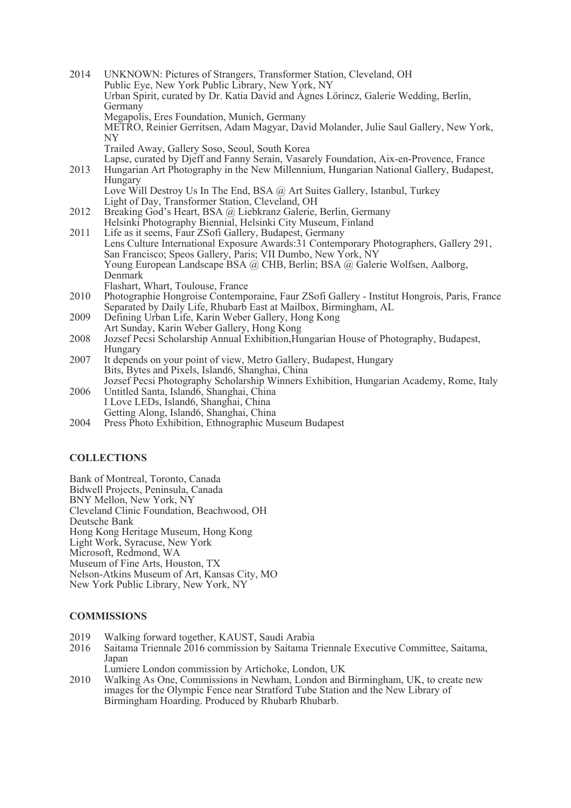| 2014 | UNKNOWN: Pictures of Strangers, Transformer Station, Cleveland, OH                          |
|------|---------------------------------------------------------------------------------------------|
|      | Public Eye, New York Public Library, New York, NY                                           |
|      | Urban Spirit, curated by Dr. Katia David and Ágnes Lőrincz, Galerie Wedding, Berlin,        |
|      | Germany                                                                                     |
|      | Megapolis, Eres Foundation, Munich, Germany                                                 |
|      | METRO, Reinier Gerritsen, Adam Magyar, David Molander, Julie Saul Gallery, New York,<br>NY. |
|      | Trailed Away, Gallery Soso, Seoul, South Korea                                              |
|      | Lapse, curated by Djeff and Fanny Serain, Vasarely Foundation, Aix-en-Provence, France      |
| 2013 | Hungarian Art Photography in the New Millennium, Hungarian National Gallery, Budapest,      |
|      | Hungary                                                                                     |
|      | Love Will Destroy Us In The End, BSA @ Art Suites Gallery, Istanbul, Turkey                 |
|      | Light of Day, Transformer Station, Cleveland, OH                                            |
| 2012 | Breaking God's Heart, BSA @ Liebkranz Galerie, Berlin, Germany                              |
|      | Helsinki Photography Biennial, Helsinki City Museum, Finland                                |
| 2011 | Life as it seems, Faur ZSofi Gallery, Budapest, Germany                                     |
|      | Lens Culture International Exposure Awards: 31 Contemporary Photographers, Gallery 291,     |
|      | San Francisco; Speos Gallery, Paris; VII Dumbo, New York, NY                                |
|      | Young European Landscape BSA @ CHB, Berlin; BSA @ Galerie Wolfsen, Aalborg,                 |
|      | Denmark                                                                                     |
|      | Flashart, Whart, Toulouse, France                                                           |
| 2010 | Photographie Hongroise Contemporaine, Faur ZSofi Gallery - Institut Hongrois, Paris, France |
|      | Separated by Daily Life, Rhubarb East at Mailbox, Birmingham, AL                            |
| 2009 | Defining Urban Life, Karin Weber Gallery, Hong Kong                                         |
|      | Art Sunday, Karin Weber Gallery, Hong Kong                                                  |
| 2008 | Jozsef Pecsi Scholarship Annual Exhibition, Hungarian House of Photography, Budapest,       |
|      | Hungary                                                                                     |
| 2007 | It depends on your point of view, Metro Gallery, Budapest, Hungary                          |
|      | Bits, Bytes and Pixels, Island6, Shanghai, China                                            |
|      | Jozsef Pecsi Photography Scholarship Winners Exhibition, Hungarian Academy, Rome, Italy     |
| 2006 | Untitled Santa, Islandó, Shanghai, China                                                    |
|      | I Love LEDs, Island6, Shanghai, China                                                       |
|      | Getting Along, Island6, Shanghai, China                                                     |
| 2004 | Press Photo Exhibition, Ethnographic Museum Budapest                                        |

### **COLLECTIONS**

Bank of Montreal, Toronto, Canada Bidwell Projects, Peninsula, Canada BNY Mellon, New York, NY Cleveland Clinic Foundation, Beachwood, OH Deutsche Bank Hong Kong Heritage Museum, Hong Kong Light Work, Syracuse, New York Microsoft, Redmond, WA Museum of Fine Arts, Houston, TX Nelson-Atkins Museum of Art, Kansas City, MO New York Public Library, New York, NY

# **COMMISSIONS**

- 2019 Walking forward together, KAUST, Saudi Arabia
- 2016 Saitama Triennale 2016 commission by Saitama Triennale Executive Committee, Saitama, Japan
- Lumiere London commission by Artichoke, London, UK
- 2010 Walking As One, Commissions in Newham, London and Birmingham, UK, to create new images for the Olympic Fence near Stratford Tube Station and the New Library of Birmingham Hoarding. Produced by Rhubarb Rhubarb.